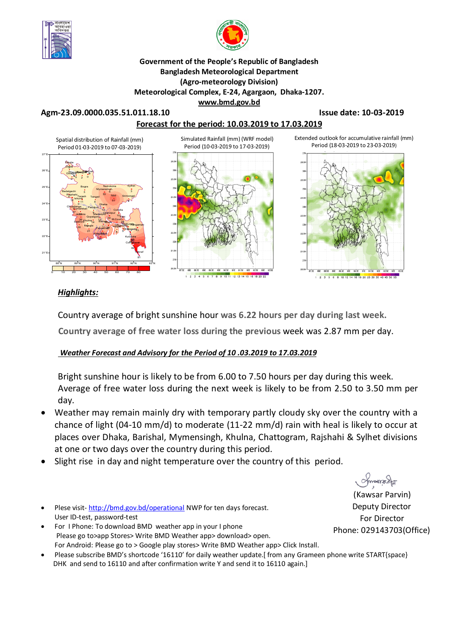



#### **Government of the People's Republic of Bangladesh Bangladesh Meteorological Department (Agro-meteorology Division) Meteorological Complex, E-24, Agargaon, Dhaka-1207. www.bmd.gov.bd**

#### **Agm-23.09.0000.035.51.011.18.10 Issue date: 10-03-2019**



### *Highlights:*

Country average of bright sunshine hour **was 6.22 hours per day during last week.**

**Country average of free water loss during the previous** week was 2.87 mm per day.

### *Weather Forecast and Advisory for the Period of 10 .03.2019 to 17.03.2019*

Bright sunshine hour is likely to be from 6.00 to 7.50 hours per day during this week. Average of free water loss during the next week is likely to be from 2.50 to 3.50 mm per day.

- Weather may remain mainly dry with temporary partly cloudy sky over the country with a chance of light (04-10 mm/d) to moderate (11-22 mm/d) rain with heal is likely to occur at places over Dhaka, Barishal, Mymensingh, Khulna, Chattogram, Rajshahi & Sylhet divisions at one or two days over the country during this period.
- Slight rise in day and night temperature over the country of this period.
- Plese visit-http://bmd.gov.bd/operational NWP for ten days forecast. User ID-test, password-test
- For I Phone: To download BMD weather app in your I phone Please go to>app Stores> Write BMD Weather app> download> open. For Android: Please go to > Google play stores> Write BMD Weather app> Click Install.
- Please subscribe BMD's shortcode '16110' for daily weather update.[ from any Grameen phone write START{space} DHK and send to 16110 and after confirmation write Y and send it to 16110 again.]

ommanacha

(Kawsar Parvin) Deputy Director For Director Phone: 029143703(Office)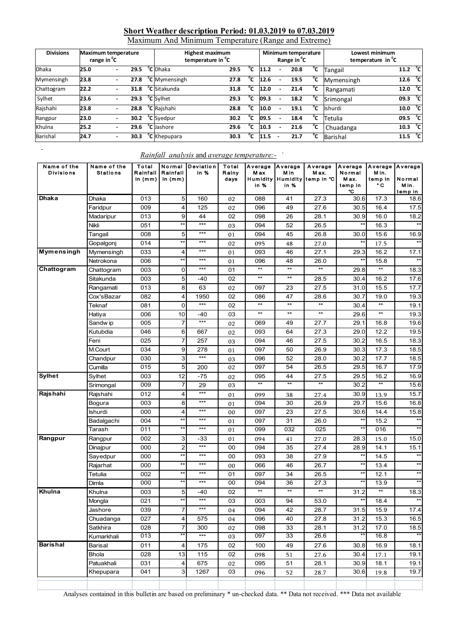# **Short Weather description Period: 01.03.2019 to 07.03.2019** Maximum And Minimum Temperature (Range and Extreme)

| <b>Divisions</b><br><b>Maximum temperature</b><br>range in <sup>o</sup> C |      |  |      | <b>Highest maximum</b><br>temperature in <sup>o</sup> C |                           |      |    |      | Minimum temperature<br>Range in <sup>o</sup> C |      | Lowest minimum<br>temperature in <sup>o</sup> C |                |      |  |    |
|---------------------------------------------------------------------------|------|--|------|---------------------------------------------------------|---------------------------|------|----|------|------------------------------------------------|------|-------------------------------------------------|----------------|------|--|----|
| <b>Dhaka</b>                                                              | 25.0 |  | 29.5 |                                                         | <b>°C</b> Dhaka           | 29.5 | °C | 11.2 |                                                | 20.8 | °c                                              | Tangail        | 11.2 |  | °c |
| Mymensingh                                                                | 23.8 |  | 27.8 |                                                         | <sup>o</sup> C Mymensingh | 27.8 | °C | 12.6 |                                                | 19.5 | °c                                              | Mymensingh     | 12.6 |  | °c |
| Chattogram                                                                | 22.2 |  | 31.8 |                                                         | <sup>o</sup> C Sitakunda  | 31.8 | °c | 12.0 | ۰                                              | 21.4 | °c                                              | Rangamati      | 12.0 |  | °c |
| Sylhet                                                                    | 23.6 |  | 29.3 |                                                         | <sup>o</sup> C Sylhet     | 29.3 | °c | 09.3 |                                                | 18.2 | °c                                              | Srimongal      | 09.3 |  | °c |
| Rajshahi                                                                  | 23.8 |  | 28.8 |                                                         | <sup>o</sup> C Rajshahi   | 28.8 | °c | 10.0 |                                                | 19.1 | °с                                              | <b>Ishurdi</b> | 10.0 |  | °c |
| Rangpur                                                                   | 23.0 |  | 30.2 |                                                         | <sup>o</sup> C Syedpur    | 30.2 | °c | 09.5 |                                                | 18.4 | °c                                              | Tetulia        | 09.5 |  | °c |
| Khulna                                                                    | 25.2 |  | 29.6 |                                                         | <sup>o</sup> C Jashore    | 29.6 | °c | 10.3 |                                                | 21.6 | °c                                              | Chuadanga      | 10.3 |  | °c |
| <b>Barishal</b>                                                           | 24.7 |  | 30.3 |                                                         | <sup>o</sup> C Khepupara  | 30.3 | °c | 11.5 |                                                | 21.7 | °C.                                             | Barishal       | 11.5 |  | °c |

#### *Rainfall analysis* and *average temperature:-* `

 $\overline{\phantom{a}}$ 

| Name of the<br><b>Divisions</b> | Name of the<br><b>Stations</b> | Total<br>Rainfall<br>in $(mm)$ | Normal<br>Rainfall<br>in $(mm)$ | Deviation<br>in % | Total<br>Rainy<br>days | Average<br>M ax<br>Humidity<br>in % | Average<br>M in<br>Humidity<br>in % | Average<br>M ax.<br>temp in ℃ | Average<br>Normal<br>M ax.<br>temp in<br>°C | Average<br>Min.<br>temp in<br>۰c | Average<br>Normal<br>Min.<br>temp in |
|---------------------------------|--------------------------------|--------------------------------|---------------------------------|-------------------|------------------------|-------------------------------------|-------------------------------------|-------------------------------|---------------------------------------------|----------------------------------|--------------------------------------|
| <b>Dhaka</b>                    | Dhaka                          | 013                            | 5 <sup>1</sup>                  | 160               | 02                     | 088                                 | 41                                  | 27.3                          | 30.6                                        | 17.3                             | 18.6                                 |
|                                 | Faridpur                       | 009                            | 4                               | 125               | 02                     | 096                                 | 49                                  | 27.6                          | 30.5                                        | 16.4                             | 17.5                                 |
|                                 | Madaripur                      | 013                            | 9                               | 44                | 02                     | 098                                 | 26                                  | 28.1                          | 30.9                                        | 16.0                             | 18.2                                 |
|                                 | Nikli                          | 051                            | $\star\star$                    | ***               | 03                     | 094                                 | 52                                  | 26.5                          | $\star\star$                                | 16.3                             | $**$                                 |
|                                 | Tangail                        | 008                            | 5                               | ***               | 01                     | 094                                 | 45                                  | 26.8                          | 30.0                                        | 15.6                             | 16.9                                 |
|                                 | Gopalgonj                      | 014                            | $\star\star$                    | ***               | 02                     | 095                                 | 48                                  | 27.0                          | $\star\star$                                | 17.5                             | $**$                                 |
| <b>Mymensingh</b>               | Mymensingh                     | 033                            | 4                               | ***               | 01                     | 093                                 | 46                                  | 27.1                          | 29.3                                        | 16.2                             | 17.1                                 |
|                                 | Netrokona                      | 006                            | $**$                            | ***               | 01                     | 096                                 | 48                                  | 26.0                          | **                                          | 15.8                             | $**$                                 |
| Chattogram                      | Chattogram                     | 003                            | 0                               | ***               | 01                     | $^{\star\star}$                     | $\star\star$                        | $^{\star\star}$               | 29.8                                        | $**$                             | 18.3                                 |
|                                 | Sitakunda                      | 003                            | 5                               | -40               | 02                     | $^{\star\star}$                     | $***$                               | 28.5                          | 30.4                                        | 16.2                             | 17.6                                 |
|                                 | Rangamati                      | 013                            | 8                               | 63                | 02                     | 097                                 | 23                                  | 27.5                          | 31.0                                        | 15.5                             | 17.7                                 |
|                                 | Cox'sBazar                     | 082                            | 4                               | 1950              | 02                     | 086                                 | 47                                  | 28.6                          | 30.7                                        | 19.0                             | 19.3                                 |
|                                 | Teknaf                         | 081                            | $\Omega$                        | ***               | 02                     | $\star\star$                        | $\star\star$                        | $\star\star$                  | 30.4                                        | $\star\star$                     | 19.1                                 |
|                                 | Hatiya                         | 006                            | 10                              | $-40$             | 03                     | $^{\star\star}$                     | $**$                                | $**$                          | 29.6                                        | $**$                             | 19.3                                 |
|                                 | Sandw ip                       | 005                            | $\overline{7}$                  | ***               | 02                     | 069                                 | 49                                  | 27.7                          | 29.1                                        | 16.8                             | 19.6                                 |
|                                 | Kutubdia                       | 046                            | $6 \mid$                        | 667               | 02                     | 093                                 | 64                                  | 27.3                          | 29.0                                        | 12.2                             | 19.5                                 |
|                                 | Feni                           | 025                            | $\overline{7}$                  | 257               | 03                     | 094                                 | 46                                  | 27.5                          | 30.2                                        | 16.5                             | 18.3                                 |
|                                 | M.Court                        | 034                            | 9                               | 278               | 01                     | 097                                 | 50                                  | 26.9                          | 30.3                                        | 17.3                             | 18.5                                 |
|                                 | Chandpur                       | 030                            | 3                               | $***$             | 03                     | 096                                 | 52                                  | 28.0                          | 30.2                                        | 17.7                             | 18.5                                 |
|                                 | Cumilla                        | 015                            | 5                               | 200               | 02                     | 097                                 | 54                                  | 26.5                          | 29.5                                        | 16.7                             | 17.9                                 |
| <b>Sylhet</b>                   | Sylhet                         | 003                            | 12                              | -75               | 02                     | 095                                 | 44                                  | 27.5                          | 29.5                                        | 16.2                             | 16.9                                 |
|                                 | Srimongal                      | 009                            | 7                               | 29                | 03                     | $\star\star$                        | $**$                                | $**$                          | 30.2                                        | $**$                             | 15.6                                 |
| Rajshahi                        | Rajshahi                       | 012                            | 4                               | ***               | 01                     | 099                                 | 38                                  | 27.4                          | 30.9                                        | 13.9                             | 15.7                                 |
|                                 | Bogura                         | 003                            | 8                               | ***               | 01                     | 094                                 | 30                                  | 26.9                          | 29.7                                        | 15.6                             | 16.8                                 |
|                                 | Ishurdi                        | 000                            | 4                               | ***               | 00                     | 097                                 | 23                                  | 27.5                          | 30.6                                        | 14.4                             | 15.8                                 |
|                                 | Badalgachi                     | 004                            | **                              | ***               | 01                     | 097                                 | 31                                  | 26.0                          | $\star\star$                                | 15.2                             | $**$                                 |
|                                 | Tarash                         | 011                            | $**$                            | ***               | 01                     | 099                                 | $\overline{032}$                    | 025                           | $^{\star\star}$                             | 016                              |                                      |
| Rangpur                         | Rangpur                        | 002                            | 3                               | -33               | 01                     | 094                                 | 41                                  | 27.0                          | 28.3                                        | 15.0                             | 15.0                                 |
|                                 | Dinajpur                       | 000                            | $\overline{2}$                  | ***               | 00                     | 094                                 | 35                                  | 27.4                          | 28.9                                        | 14.1                             | 15.1                                 |
|                                 | Sayedpur                       | 000                            | $\star\star$                    | ***               | 00                     | 093                                 | 38                                  | 27.9                          | $\star\star$                                | 14.5                             | $\star\star$                         |
|                                 | Rajarhat                       | 000                            | $\star\star$                    | ***               | 00                     | 066                                 | 46                                  | 26.7                          | $**$                                        | 13.4                             | $**$                                 |
|                                 | Tetulia                        | 002                            | $**$                            | ***               | 01                     | 097                                 | 34                                  | 26.5                          | $^{\star\star}$                             | 12.1                             | $\star\star$                         |
|                                 | Dimla                          | 000                            | **                              | ***               | 00                     | 094                                 | 36                                  | 27.3                          | **                                          | 13.9                             | $**$                                 |
| Khulna                          | Khulna                         | 003                            | 5                               | -40               | 02                     | $^{\star\star}$                     | $**$                                | $**$                          | 31.2                                        | $**$                             | 18.3                                 |
|                                 | Mongla                         | 021                            | **                              |                   | 03                     | 003                                 | 94                                  | 53.0                          |                                             | 18.4                             |                                      |
|                                 | Jashore                        | 039                            | $\overline{7}$                  | ***               | 04                     | 094                                 | 42                                  | 28.7                          | 31.5                                        | 15.9                             | 17.4                                 |
|                                 | Chuadanga                      | 027                            | 4                               | 575               | 04                     | 096                                 | 40                                  | 27.8                          | 31.2                                        | 15.3                             | 16.5                                 |
|                                 | Satkhira                       | 028                            | $\overline{7}$                  | 300               | 02                     | 098                                 | 33                                  | 28.1                          | 31.2                                        | 17.0                             | 18.5                                 |
|                                 | Kumarkhali                     | 013                            | **                              | $***$             | 03                     | 097                                 | 33                                  | 26.6                          | $**$                                        | 16.8                             | $**$                                 |
| <b>Barishal</b>                 | Barisal                        | 011                            | $\vert 4 \vert$                 | 175               | 02                     | 100                                 | 49                                  | 27.6                          | 30.8                                        | 16.9                             | 18.1                                 |
|                                 | <b>Bhola</b>                   | 028                            | 13                              | 115               | 02                     | 098                                 | 51                                  | 27.6                          | 30.4                                        | 17.1                             | 19.1                                 |
|                                 | Patuakhali                     | 031                            | $\overline{4}$                  | 675               | 02                     | 095                                 | 51                                  | 28.1                          | 30.9                                        | 18.1                             | 19.1                                 |
|                                 | Khepupara                      | 041                            | $\overline{3}$                  | 1267              | 03                     | 096                                 | 52                                  | 28.7                          | 30.6                                        | 19.8                             | 19.7                                 |
|                                 |                                |                                |                                 |                   |                        |                                     |                                     |                               |                                             |                                  |                                      |

Analyses contained in this bulletin are based on preliminary \* un-checked data. \*\* Data not received. \*\*\* Data not available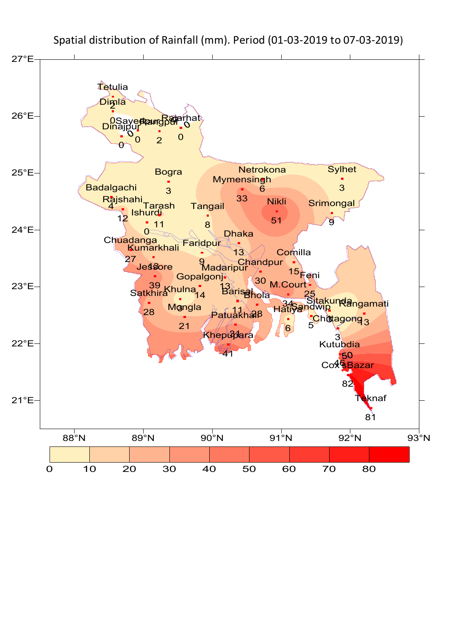

Spatial distribution of Rainfall (mm). Period (01-03-2019 to 07-03-2019)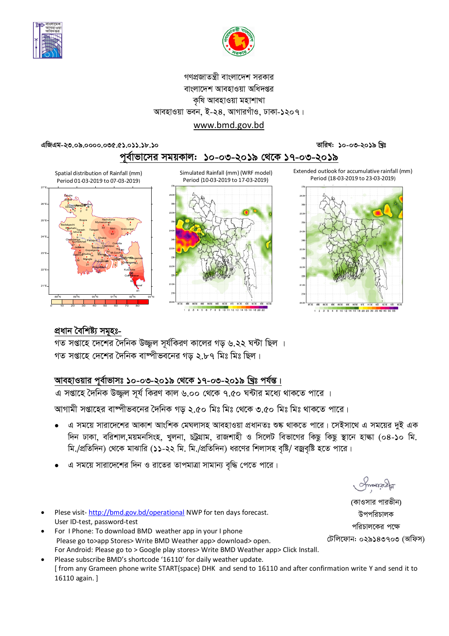



### গণপ্রজাতন্ত্রী বাংলাদেশ সরকার বাংলাদেশ আবহাওয়া অধিদপ্তর কৃষি আবহাওয়া মহাশাখা আবহাওয়া ভবন, ই-২৪, আগারগাঁও, ঢাকা-১২০৭। www.bmd.gov.bd

তারিখ: ১০-০৩-২০১৯ খ্রিঃ

এজিএম-২৩.০৯.০০০০.০৩৫.৫১.০১১.১৮.১০



Extended outlook for accumulative rainfall (mm) Period (18-03-2019 to 23-03-2019)



Spatial distribution of Rainfall (mm) Period 01-03-2019 to 07-03-2019)



Simulated Rainfall (mm) (WRF model) Period (10-03-2019 to 17-03-2019)





গত সপ্তাহে দেশের দৈনিক বাষ্পীভবনের গড ২.৮৭ মিঃ মিঃ ছিল।

## আবহাওয়ার পূর্বাভাসঃ ১০-০৩-২০১৯ থেকে ১৭-০৩-২০১৯ খ্রিঃ পর্যন্ত।

এ সপ্তাহে দৈনিক উজ্জল সূর্য কিরণ কাল ৬.০০ থেকে ৭.৫০ ঘন্টার মধ্যে থাকতে পারে ।

আগামী সপ্তাহের বাষ্পীভবনের দৈনিক গড় ২.৫০ মিঃ মিঃ থেকে ৩.৫০ মিঃ মিঃ থাকতে পারে।

- এ সময়ে সারাদেশের আকাশ আংশিক মেঘলাসহ আবহাওয়া প্রধানতঃ শুষ্ক থাকতে পারে। সেইসাথে এ সময়ের দুই এক দিন ঢাকা, বরিশাল,ময়মনসিংহ, খুলনা, চট্রগ্রাম, রাজশাহী ও সিলেট বিভাগের কিছু কিছু স্থানে হাল্কা (০৪-১০ মি. মি./প্রতিদিন) থেকে মাঝারি (১১-২২ মি. মি./প্রতিদিন) ধরণের শিলাসহ বৃষ্টি/ বজ্রবৃষ্টি হতে পারে।
- এ সময়ে সারাদেশের দিন ও রাতের তাপমাত্রা সামান্য বৃদ্ধি পেতে পারে।
- Plese visit-http://bmd.gov.bd/operational NWP for ten days forecast. User ID-test, password-test
- For I Phone: To download BMD weather app in your I phone Please go to>app Stores> Write BMD Weather app> download> open. For Android: Please go to > Google play stores> Write BMD Weather app> Click Install.
- Please subscribe BMD's shortcode '16110' for daily weather update. [from any Grameen phone write START{space} DHK and send to 16110 and after confirmation write Y and send it to 16110 again.]

**Amanacha** 

(কাওসার পারভীন) উপপরিচালক পবিচালকের পক্ষে টেলিফোন: ০২৯১৪৩৭০৩ (অফিস)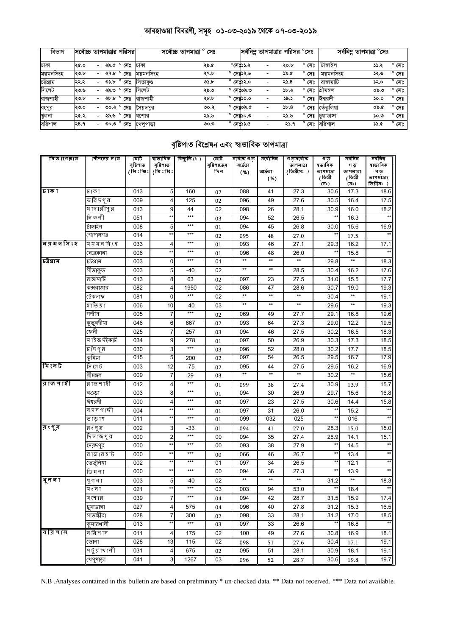# <u> আবহাওয়া বিবরণী, সমূহ ০১-০৩-২০১৯ থেকে ০৭-০৩-২০১৯</u>

| বিভাগ     | সর্বোচ্চ তাপমাত্রার পরিসর |        |      |                |           | সৰ্বোচ্চ তাপমাত্ৰা ° সেঃ |      |  |                    | সর্বনিম্ন তাপমাত্রার পরিসর <sup>o</sup> সেঃ |      |                   |            | সর্বনিম্ন তাপমাত্রা <sup>o</sup> সেঃ |                |
|-----------|---------------------------|--------|------|----------------|-----------|--------------------------|------|--|--------------------|---------------------------------------------|------|-------------------|------------|--------------------------------------|----------------|
| ঢাকা      | ২৫.০                      | $\sim$ | ২৯.৫ | $^{\circ}$ সেঃ | ঢাকা      |                          | ২৯.৫ |  | $^{\circ}$ সেঃ১১.২ |                                             | ২০.৮ | $^{\circ}$ সেঃ    | টাঙ্গাইল   | ১১.২                                 | $^{\circ}$ সেঃ |
| ময়মনসিংহ | ২৩.৮                      |        | ২৭.৮ | $^{\circ}$ সেঃ | ময়মনসিংহ |                          | ২৭.৮ |  | $^{\circ}$ সেঃ১২.৬ | ۰                                           | ১৯.৫ | $^{\circ}$<br>সেঃ | ময়মনসিংহ  | ১২.৬                                 | $^{\circ}$ সেঃ |
| চটগ্ৰাম   | ২২.২                      | $\sim$ | ৩১.৮ | $^{\circ}$ সেঃ | াসতাকণ্ড  |                          | ৩১.৮ |  | $^{\circ}$ সেঃ১২.০ | ۰                                           | ২১.৪ | $^{\circ}$ সেঃ    | রাঙ্গামাটি | ১২.০                                 | $^{\circ}$ সেঃ |
| সিলেট     | ২৩.৬                      | - 1    | ২৯.৩ | $^{\circ}$ সেঃ | সিলেট     |                          | ২৯.৩ |  | $^{\circ}$ সেঃ০৯.৩ | ٠                                           | ১৮.২ | $^{\circ}$ সেঃ    | শ্ৰীমঙ্গল  | ০৯.৩                                 | $^{\circ}$ সেঃ |
| রাজশাহী   | ২৩.৮                      |        | ২৮.৮ | $^{\circ}$ সেঃ | রাজশাহী   |                          | ২৮.৮ |  | $^{\circ}$ সেঃ১০.০ | -                                           | ১৯.১ | $^{\circ}$ সেঃ    | ঈশ্বরদী    | ১০.০                                 | $^{\circ}$ সেঃ |
| রংপুর     | ২৩.০                      | - 1    |      | ৩০.২ ° সেঃ     | সৈয়দপুর  |                          | ৩০.২ |  | $^{\circ}$ সেঃ০৯.৫ | -                                           | 5,8  | $^{\circ}$<br>সেঃ | ভেঁতলিয়া  | ০৯.৫                                 | $^{\circ}$ সেঃ |
| খুলনা     | ২৫.২                      | ۰.     | ২৯.৬ | $^{\circ}$ সেঃ | যশোর      |                          | ২৯.৬ |  | $^{\circ}$ সেঃ১০.৩ | -                                           | ২১.৬ | $^{\circ}$ সেঃ    | চয়াডাঙ্গা | ৩.০১                                 | $^{\circ}$ সেঃ |
| বরিশাল    | २8.१                      | $\sim$ |      | ত $\circ$ লঃ   | খেপপাডা   |                          | 0.00 |  | $^{\circ}$ সেঃ১১.৫ | $\overline{\phantom{a}}$                    | ২১.৭ | $^{\circ}$ সেঃ    | বরিশাল     | ১১.৫                                 | $^{\circ}$ সেঃ |

### বৃষ্টিপাত বিশ্লেষন এবং স্বাভাবিক তাপমাত্ৰা

| বি ভাগেৰাম      | স্টেশনের নাম                | মোট<br>বৃষ্টিপাত | বৃষ্টিপাত                      | স্বাভাবিক   বিদ্যুতি (ঃ) | মোট<br>বৃষ্টিপাতের | সৰ্বোষ্ক গ ড<br>আৰ্দ্ৰতা | সৰ্বোনিম্ন      | <u>গড়সৰ্বোচ্চ</u><br>তাপমাত্রা | গড<br>ষভাবিক                    | সৰ্বনিম্ন<br>গ ড | <u>जवनिम्न</u><br>ষাভাবিক |
|-----------------|-----------------------------|------------------|--------------------------------|--------------------------|--------------------|--------------------------|-----------------|---------------------------------|---------------------------------|------------------|---------------------------|
|                 |                             | (মিঃমিঃ          | (মিঃমিঃ                        |                          | দিন                | ( %)                     | আৰ্ঘতা          | (ডিগ্রীসঃ )                     | তাপমাত্রা                       | তাপমাত্রা        | গ ড়                      |
|                 |                             |                  |                                |                          |                    |                          | (%)             |                                 | (ডিগ্ৰী<br>(সঃ)                 | (ডিগ্ৰী<br>(সঃ)  | তাপমাত্রা(<br>ডিগ্ৰীসঃ )  |
| ঢাক া           | ঢাকা                        | 013              | 5                              | 160                      | 02                 | 088                      | 41              | 27.3                            | 30.6                            | 17.3             | 18.6                      |
|                 | ক্রন্নিদপুর                 | 009              | 4                              | 125                      | 02                 | 096                      | 49              | 27.6                            | 30.5                            | 16.4             | 17.5                      |
|                 | মাদারীপুর                   | 013              | 9                              | 44                       | 02                 | 098                      | 26              | 28.1                            | 30.9                            | 16.0             | 18.2                      |
|                 | নি ক লী                     | 051              | $\star\star$                   | $***$                    | 03                 | 094                      | 52              | 26.5                            | $^{\star\star}$                 | 16.3             |                           |
|                 | টাঙ্গাইল                    | 008              | 5                              | $***$                    | 01                 | 094                      | 45              | 26.8                            | 30.0                            | 15.6             | 16.9                      |
|                 | গোপালগঞ্জ                   | 014              | $\star\star$                   | $***$                    | 02                 | 095                      | 48              | 27.0                            | $^{\star\star}$                 | 17.5             |                           |
| बिय़ स व भि ९ इ | ময়মনসিংহ                   | 033              | 4                              | $***$                    | 01                 | 093                      | 46              | 27.1                            | 29.3                            | 16.2             | 17.1                      |
|                 | নেত্ৰকোনা                   | 006              | $^{\star\star}$                | $***$                    | 01                 | 096                      | 48              | 26.0                            | $^{\star\star}$                 | 15.8             | $\star\star$              |
| চউগ্ৰাম         | ঢট্রগ্রাম                   | 003              | $\mathbf 0$                    | $***$                    | 01                 | $^{\star\star}$          | $^{\star\star}$ | $^{\star\star}$                 | 29.8                            | $\star\star$     | 18.3                      |
|                 | সীতাকুন্ড                   | 003              | 5                              | $-40$                    | 02                 | $\star\star$             | $^{\star\star}$ | 28.5                            | 30.4                            | 16.2             | 17.6                      |
|                 | রাঙ্গামাটি                  | 013              | 8                              | 63                       | 02                 | 097                      | 23              | 27.5                            | 31.0                            | 15.5             | 17.7                      |
|                 | কক্সবাজার                   | 082              | 4                              | 1950                     | 02                 | 086                      | 47              | 28.6                            | 30.7                            | 19.0             | 19.3                      |
|                 | টেকনাফ                      | 081              | $\mathbf 0$                    | $***$                    | 02                 | $^{\star\star}$          | $^{\star\star}$ | $^{\star\star}$                 | 30.4                            | $^{\star\star}$  | 19.1                      |
|                 | হাতিয়া                     | 006              | 10                             | $-40$                    | 03                 | $\star\star$             | $\star\star$    | $^{\star\star}$                 | 29.6                            | $^{\star\star}$  | 19.3                      |
|                 | সন্দ্বীপ                    | 005              | 7                              | ***                      | 02                 | 069                      | 49              | 27.7                            | 29.1                            | 16.8             | 19.6                      |
|                 | কুতুবদীয়া                  | 046              | 6                              | 667                      | 02                 | 093                      | 64              | 27.3                            | 29.0                            | 12.2             | 19.5                      |
|                 | কেনী                        | 025              | $\overline{7}$                 | 257                      | 03                 | 094                      | 46              | 27.5                            | 30.2                            | 16.5             | 18.3                      |
|                 | মাইজদীকাৰ্ট                 | 034              | 9                              | 278                      | 01                 | 097                      | 50              | 26.9                            | 30.3                            | 17.3             | 18.5                      |
|                 | চাঁদপুর                     | 030              | 3                              | $***$                    | 03                 | 096                      | 52              | 28.0                            | 30.2                            | 17.7             | 18.5                      |
|                 | কুমিল্লা                    | 015              | 5                              | 200                      | 02                 | 097                      | 54              | 26.5                            | 29.5                            | 16.7             | 17.9                      |
| पि (ल ট         | সি লে ট                     | 003              | 12                             | $-75$                    | 02                 | 095<br>**                | 44<br>$**$      | 27.5<br>$**$                    | 29.5                            | 16.2             | 16.9                      |
|                 | শ্ৰীমঙ্গল                   | 009              | 7                              | 29<br>$***$              | 03                 |                          |                 |                                 | 30.2                            |                  | 15.6                      |
| ∥র⊺জ শ⊺হী       | রাজশাহী                     | 012              | 4                              | $***$                    | 01                 | 099                      | 38              | 27.4                            | 30.9                            | 13.9             | 15.7                      |
|                 | বগুডা                       | 003              | 8                              |                          | 01                 | 094                      | 30              | 26.9                            | 29.7                            | 15.6             | 16.8                      |
|                 | ঈশ্বরদী                     | 000              | 4<br>**                        | $***$<br>$***$           | 00                 | 097                      | 23              | 27.5                            | 30.6                            | 14.4             | 15.8<br>$\star\star$      |
|                 | বদলগাছী                     | 004              | $\star\star$                   | $***$                    | 01                 | 097                      | 31              | 26.0                            | $^{\star\star}$<br>$\star\star$ | 15.2             |                           |
|                 | তাডাশ                       | 011              |                                |                          | 01                 | 099                      | 032             | $\overline{025}$                |                                 | 016              |                           |
| ∣ৰ়ংপু্র        | রংপুর                       | 002              | 3                              | $-33$<br>$***$           | 01                 | 094                      | 41              | 27.0                            | 28.3                            | 15.0             | 15.0                      |
|                 | দিনাজপুর                    | 000              | $\overline{2}$<br>$\star\star$ | ***                      | 00                 | 094                      | 35              | 27.4                            | 28.9<br>$^{\star\star}$         | 14.1             | 15.1<br>$^{\star\star}$   |
|                 | সৈয়দপুর                    | 000              | $\star\star$                   | $***$                    | 00                 | 093                      | 38              | 27.9                            | $^{\star\star}$                 | 14.5             | **                        |
|                 | রাজার হাট                   | 000              | $**$                           | $***$                    | 00                 | 066                      | 46              | 26.7                            | $^{\star\star}$                 | 13.4             |                           |
|                 | তেতুঁলিয়া<br>ডি ম ল ৷      | 002<br>000       | $\star\star$                   | $***$                    | 01<br>00           | 097<br>094               | 34<br>36        | 26.5<br>27.3                    | $**$                            | 12.1<br>13.9     |                           |
| यून ना          |                             | 003              | 5                              |                          | 02                 | $\star\star$             | $***$           | $^{\star\star}$                 | 31.2                            | $^{\star\star}$  | 18.3                      |
|                 | খুল ন⊺                      | 021              | $\star\star$                   | -40<br>$***$             | 03                 | 003                      | 94              | 53.0                            | $^{\star\star}$                 | 18.4             | $^{\star\star}$           |
|                 | মংলা                        |                  | $\overline{7}$                 | $\star\star\star$        |                    | 094                      | 42              |                                 | 31.5                            |                  |                           |
|                 | য শে ার                     | 039<br>027       |                                |                          | 04                 | 096                      | 40              | 28.7                            | 31.2                            | 15.9<br>15.3     | 17.4<br>16.5              |
|                 | চুয়াডাঙ্গা<br>সাতক্ষীরা    |                  | 4<br>$\overline{7}$            | 575                      | 04                 |                          |                 | 27.8                            | 31.2                            | 17.0             | 18.5                      |
|                 | কুমারখালী                   | 028<br>013       | $\star\star$                   | 300<br>$***$             | 02<br>03           | 098<br>097               | 33<br>33        | 28.1<br>26.6                    | $**$                            | 16.8             | $**$                      |
| বরিশাল          | ব রি শ শে                   | 011              | 4                              | 175                      | 02                 | 100                      | 49              | 27.6                            | 30.8                            | 16.9             | 18.1                      |
|                 |                             |                  |                                |                          |                    |                          |                 |                                 |                                 |                  |                           |
|                 | ভোলা<br><u>भ টू या थानी</u> | 028              | 13                             | 115                      | 02                 | 098                      | 51              | 27.6                            | 30.4                            | 17.1             | 19.1                      |
|                 |                             | 031              | 4                              | 675                      | 02                 | 095                      | 51              | 28.1                            | 30.9                            | 18.1             | 19.1                      |
|                 | খেপুপাড়া                   | 041              | $\overline{3}$                 | 1267                     | 03                 | 096                      | 52              | 28.7                            | 30.6                            | 19.8             | 19.7                      |

N.B .Analyses contained in this bulletin are based on preliminary \* un-checked data. \*\* Data not received. \*\*\* Data not available.